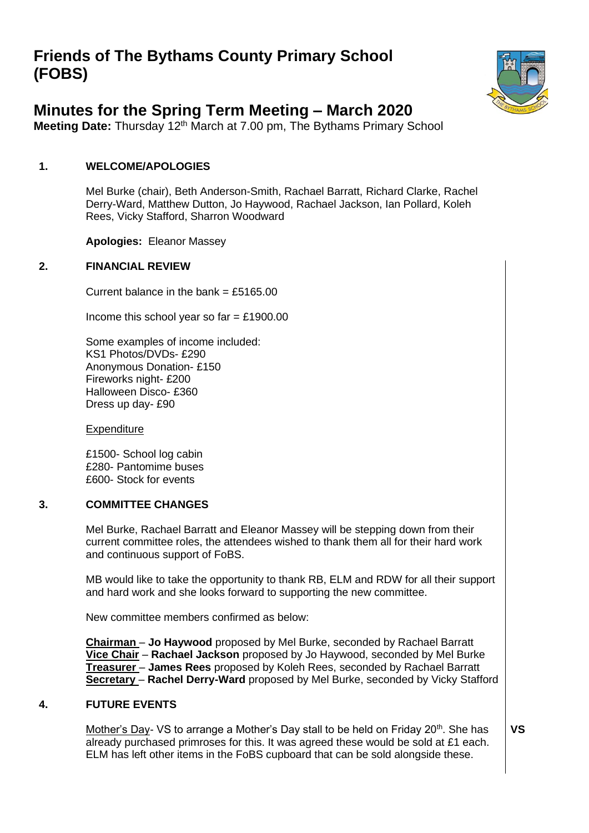# **Friends of The Bythams County Primary School (FOBS)**



## **Minutes for the Spring Term Meeting – March 2020**

**Meeting Date:** Thursday 12<sup>th</sup> March at 7.00 pm, The Bythams Primary School

### **1. WELCOME/APOLOGIES**

Mel Burke (chair), Beth Anderson-Smith, Rachael Barratt, Richard Clarke, Rachel Derry-Ward, Matthew Dutton, Jo Haywood, Rachael Jackson, Ian Pollard, Koleh Rees, Vicky Stafford, Sharron Woodward

**Apologies:** Eleanor Massey

#### **2. FINANCIAL REVIEW**

Current balance in the bank =  $£5165.00$ 

Income this school year so far  $=$  £1900.00

Some examples of income included: KS1 Photos/DVDs- £290 Anonymous Donation- £150 Fireworks night- £200 Halloween Disco- £360 Dress up day- £90

**Expenditure** 

£1500- School log cabin £280- Pantomime buses £600- Stock for events

#### **3. COMMITTEE CHANGES**

Mel Burke, Rachael Barratt and Eleanor Massey will be stepping down from their current committee roles, the attendees wished to thank them all for their hard work and continuous support of FoBS.

MB would like to take the opportunity to thank RB, ELM and RDW for all their support and hard work and she looks forward to supporting the new committee.

New committee members confirmed as below:

**Chairman** – **Jo Haywood** proposed by Mel Burke, seconded by Rachael Barratt **Vice Chair** – **Rachael Jackson** proposed by Jo Haywood, seconded by Mel Burke **Treasurer** – **James Rees** proposed by Koleh Rees, seconded by Rachael Barratt **Secretary** – **Rachel Derry-Ward** proposed by Mel Burke, seconded by Vicky Stafford

#### **4. FUTURE EVENTS**

Mother's Day- VS to arrange a Mother's Day stall to be held on Friday  $20<sup>th</sup>$ . She has already purchased primroses for this. It was agreed these would be sold at £1 each. ELM has left other items in the FoBS cupboard that can be sold alongside these.

**VS**